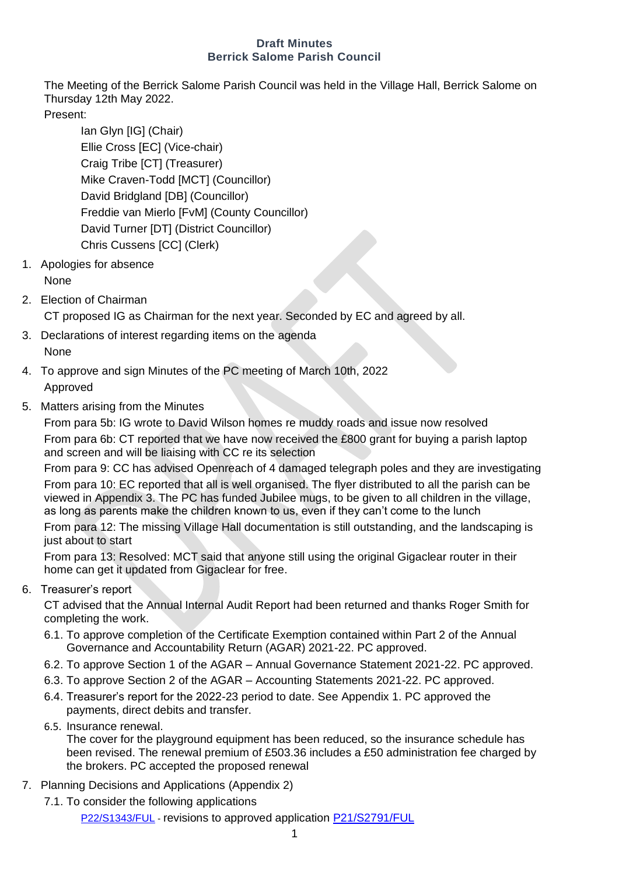#### **Draft Minutes Berrick Salome Parish Council**

The Meeting of the Berrick Salome Parish Council was held in the Village Hall, Berrick Salome on Thursday 12th May 2022.

Present:

Ian Glyn [IG] (Chair) Ellie Cross [EC] (Vice-chair) Craig Tribe [CT] (Treasurer) Mike Craven-Todd [MCT] (Councillor) David Bridgland [DB] (Councillor) Freddie van Mierlo [FvM] (County Councillor) David Turner [DT] (District Councillor) Chris Cussens [CC] (Clerk)

- 1. Apologies for absence None
- 2. Election of Chairman

CT proposed IG as Chairman for the next year. Seconded by EC and agreed by all.

- 3. Declarations of interest regarding items on the agenda None
- 4. To approve and sign Minutes of the PC meeting of March 10th, 2022 Approved
- 5. Matters arising from the Minutes

From para 5b: IG wrote to David Wilson homes re muddy roads and issue now resolved From para 6b: CT reported that we have now received the £800 grant for buying a parish laptop and screen and will be liaising with CC re its selection

From para 9: CC has advised Openreach of 4 damaged telegraph poles and they are investigating From para 10: EC reported that all is well organised. The flyer distributed to all the parish can be viewed in Appendix 3. The PC has funded Jubilee mugs, to be given to all children in the village, as long as parents make the children known to us, even if they can't come to the lunch From para 12: The missing Village Hall documentation is still outstanding, and the landscaping is just about to start

From para 13: Resolved: MCT said that anyone still using the original Gigaclear router in their home can get it updated from Gigaclear for free.

6. Treasurer's report

CT advised that the Annual Internal Audit Report had been returned and thanks Roger Smith for completing the work.

- 6.1. To approve completion of the Certificate Exemption contained within Part 2 of the Annual Governance and Accountability Return (AGAR) 2021-22. PC approved.
- 6.2. To approve Section 1 of the AGAR Annual Governance Statement 2021-22. PC approved.
- 6.3. To approve Section 2 of the AGAR Accounting Statements 2021-22. PC approved.
- 6.4. Treasurer's report for the 2022-23 period to date. See Appendix 1. PC approved the payments, direct debits and transfer.
- 6.5. Insurance renewal.

The cover for the playground equipment has been reduced, so the insurance schedule has been revised. The renewal premium of £503.36 includes a £50 administration fee charged by the brokers. PC accepted the proposed renewal

- 7. Planning Decisions and Applications (Appendix 2)
	- 7.1. To consider the following applications

[P22/S1343/FUL](https://data.southoxon.gov.uk/ccm/support/Main.jsp?MODULE=ApplicationDetails&REF=P22/S1343/FUL) - revisions to approved application [P21/S2791/FUL](https://data.southoxon.gov.uk/ccm/support/Main.jsp?MODULE=ApplicationDetails&REF=P21/S2791/FUL)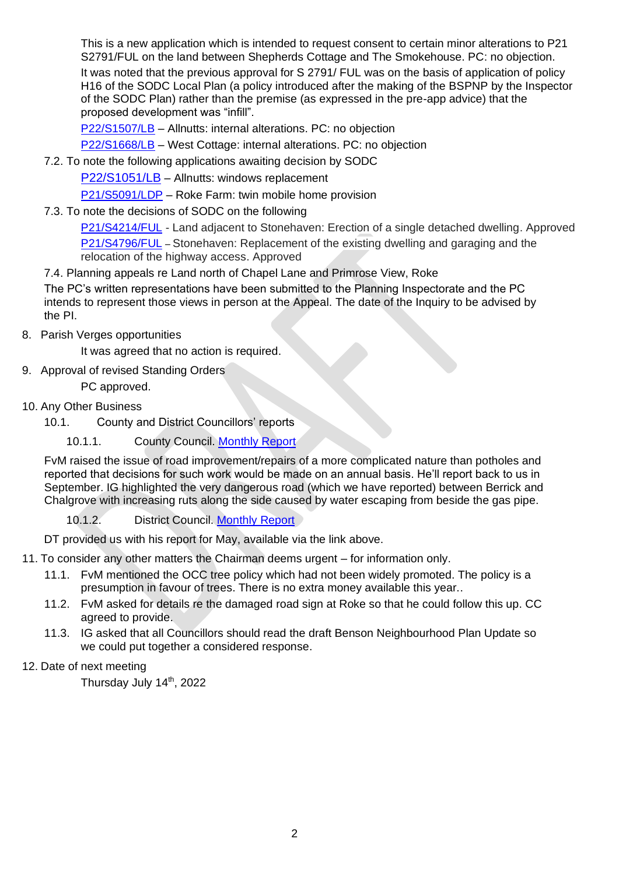This is a new application which is intended to request consent to certain minor alterations to P21 S2791/FUL on the land between Shepherds Cottage and The Smokehouse. PC: no objection.

It was noted that the previous approval for S 2791/ FUL was on the basis of application of policy H16 of the SODC Local Plan (a policy introduced after the making of the BSPNP by the Inspector of the SODC Plan) rather than the premise (as expressed in the pre-app advice) that the proposed development was "infill".

[P22/S1507/LB](https://data.southoxon.gov.uk/ccm/support/Main.jsp?MODULE=ApplicationDetails&REF=P22/S1507/LB) – Allnutts: internal alterations. PC: no objection

[P22/S1668/LB](https://data.southoxon.gov.uk/ccm/support/Main.jsp?MODULE=ApplicationDetails&REF=P22/S1668/LB) – West Cottage: internal alterations. PC: no objection

7.2. To note the following applications awaiting decision by SODC

[P22/S1051/LB](https://data.southoxon.gov.uk/ccm/support/Main.jsp?MODULE=ApplicationDetails&REF=P22/S1051/LB) – Allnutts: windows replacement

[P21/S5091/LDP](https://data.southoxon.gov.uk/ccm/support/Main.jsp?MODULE=ApplicationDetails&REF=P21/S5091/LDP) – Roke Farm: twin mobile home provision

7.3. To note the decisions of SODC on the following

[P21/S4214/FUL](https://data.southoxon.gov.uk/ccm/support/Main.jsp?MODULE=ApplicationDetails&REF=P21/S4214/FUL) - Land adjacent to Stonehaven: Erection of a single detached dwelling. Approved [P21/S4796/FUL](https://data.southoxon.gov.uk/ccm/support/Main.jsp?MODULE=ApplicationDetails&REF=P21/S4796/FUL) – Stonehaven: Replacement of the existing dwelling and garaging and the relocation of the highway access. Approved

7.4. Planning appeals re Land north of Chapel Lane and Primrose View, Roke

The PC's written representations have been submitted to the Planning Inspectorate and the PC intends to represent those views in person at the Appeal. The date of the Inquiry to be advised by the PI.

8. Parish Verges opportunities

It was agreed that no action is required.

9. Approval of revised Standing Orders

PC approved.

- 10. Any Other Business
	- 10.1. County and District Councillors' reports
		- 10.1.1. County Council. [Monthly Report](http://www.berrickandroke.org.uk/documents/OCC_reps/202205.pdf)

FvM raised the issue of road improvement/repairs of a more complicated nature than potholes and reported that decisions for such work would be made on an annual basis. He'll report back to us in September. IG highlighted the very dangerous road (which we have reported) between Berrick and Chalgrove with increasing ruts along the side caused by water escaping from beside the gas pipe.

10.1.2. **District Council. [Monthly Report](http://www.berrickandroke.org.uk/documents/SODC_reps/2205.pdf)** 

DT provided us with his report for May, available via the link above.

11. To consider any other matters the Chairman deems urgent – for information only.

- 11.1. FvM mentioned the OCC tree policy which had not been widely promoted. The policy is a presumption in favour of trees. There is no extra money available this year..
- 11.2. FvM asked for details re the damaged road sign at Roke so that he could follow this up. CC agreed to provide.
- 11.3. IG asked that all Councillors should read the draft Benson Neighbourhood Plan Update so we could put together a considered response.
- 12. Date of next meeting

Thursday July 14<sup>th</sup>, 2022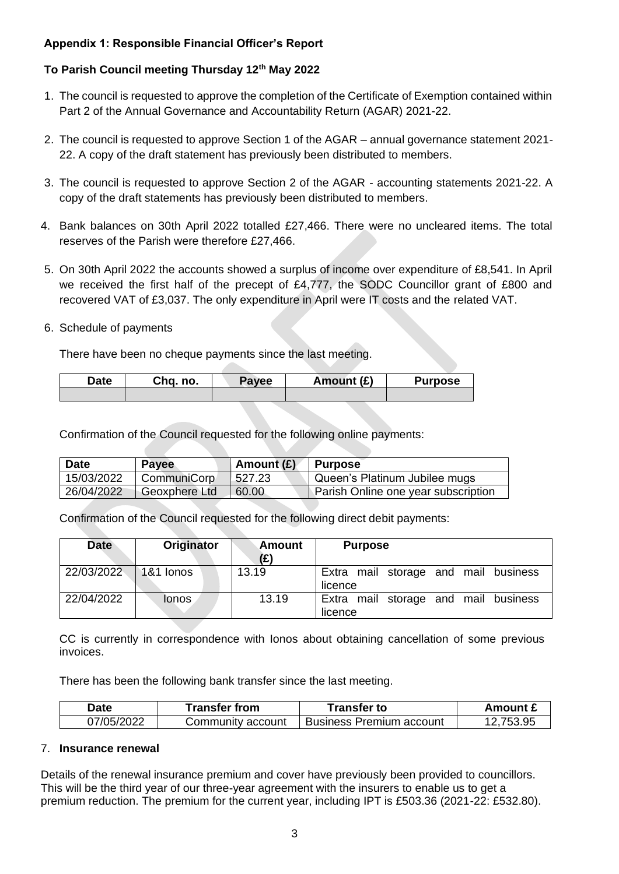# **Appendix 1: Responsible Financial Officer's Report**

# **To Parish Council meeting Thursday 12th May 2022**

- 1. The council is requested to approve the completion of the Certificate of Exemption contained within Part 2 of the Annual Governance and Accountability Return (AGAR) 2021-22.
- 2. The council is requested to approve Section 1 of the AGAR annual governance statement 2021- 22. A copy of the draft statement has previously been distributed to members.
- 3. The council is requested to approve Section 2 of the AGAR accounting statements 2021-22. A copy of the draft statements has previously been distributed to members.
- 4. Bank balances on 30th April 2022 totalled £27,466. There were no uncleared items. The total reserves of the Parish were therefore £27,466.
- 5. On 30th April 2022 the accounts showed a surplus of income over expenditure of £8,541. In April we received the first half of the precept of £4,777, the SODC Councillor grant of £800 and recovered VAT of £3,037. The only expenditure in April were IT costs and the related VAT.
- 6. Schedule of payments

There have been no cheque payments since the last meeting.

| Date | Chq. no. | Payee | Amount (£) |  |
|------|----------|-------|------------|--|
|      |          |       |            |  |

Confirmation of the Council requested for the following online payments:

| Date       | <b>Payee</b>  | Amount $(E)$ | <b>Purpose</b>                      |
|------------|---------------|--------------|-------------------------------------|
| 15/03/2022 | CommuniCorp   | 527.23       | Queen's Platinum Jubilee mugs       |
| 26/04/2022 | Geoxphere Ltd | 60.00        | Parish Online one year subscription |

Confirmation of the Council requested for the following direct debit payments:

| <b>Date</b> | Originator | Amount<br>(£) | <b>Purpose</b>                                  |
|-------------|------------|---------------|-------------------------------------------------|
| 22/03/2022  | 1&1 lonos  | 13.19         | Extra mail storage and mail business<br>licence |
| 22/04/2022  | lonos      | 13.19         | Extra mail storage and mail business<br>licence |

CC is currently in correspondence with Ionos about obtaining cancellation of some previous invoices.

There has been the following bank transfer since the last meeting.

| Date       | <b>Transfer from</b> | Transfer to              | Amount £  |
|------------|----------------------|--------------------------|-----------|
| 07/05/2022 | Community account    | Business Premium account | 12,753.95 |

#### 7. **Insurance renewal**

Details of the renewal insurance premium and cover have previously been provided to councillors. This will be the third year of our three-year agreement with the insurers to enable us to get a premium reduction. The premium for the current year, including IPT is £503.36 (2021-22: £532.80).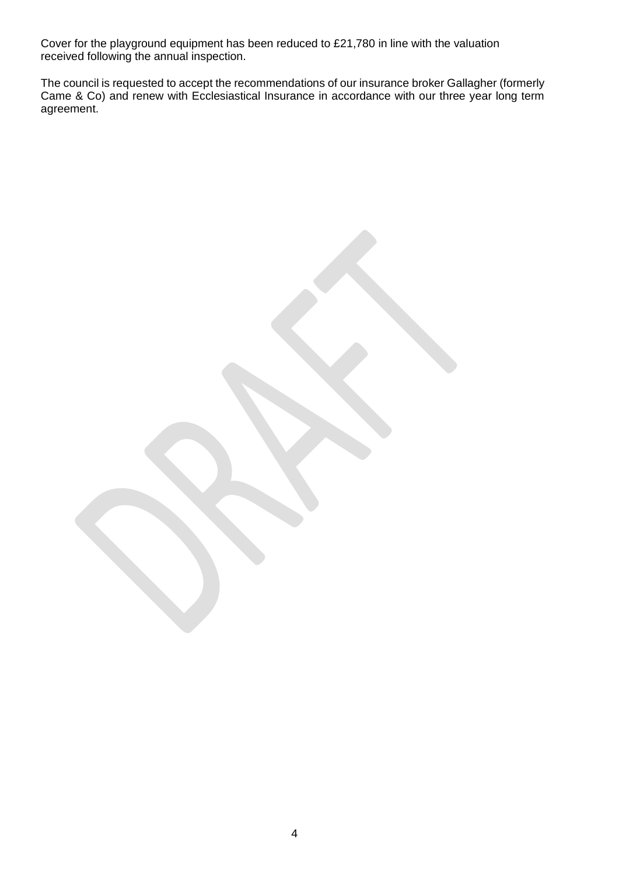Cover for the playground equipment has been reduced to £21,780 in line with the valuation received following the annual inspection.

The council is requested to accept the recommendations of our insurance broker Gallagher (formerly Came & Co) and renew with Ecclesiastical Insurance in accordance with our three year long term agreement.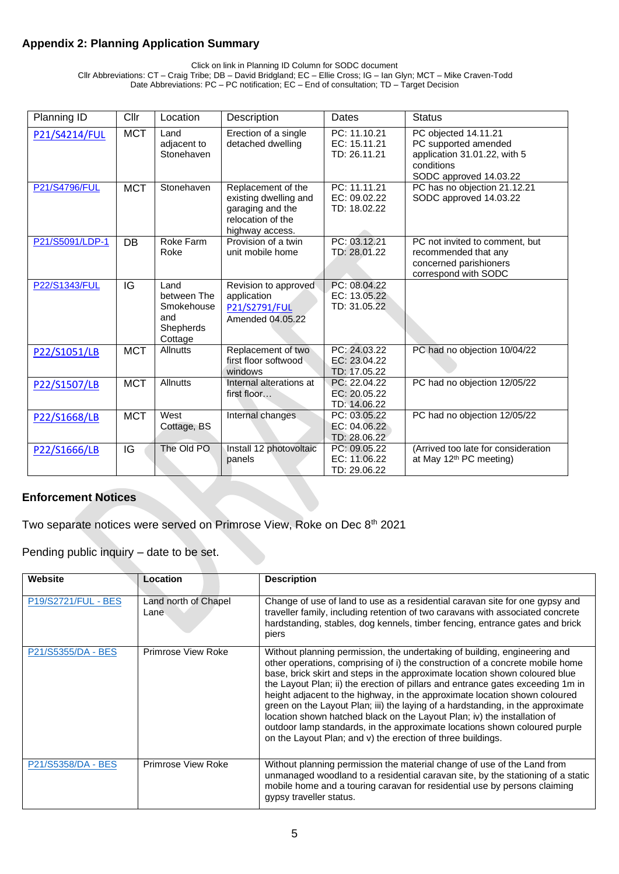## **Appendix 2: Planning Application Summary**

Click on link in Planning ID Column for SODC document

Cllr Abbreviations: CT – Craig Tribe; DB – David Bridgland; EC – Ellie Cross; IG – Ian Glyn; MCT – Mike Craven-Todd Date Abbreviations: PC – PC notification; EC – End of consultation; TD – Target Decision

| Planning ID          | Cllr       | Location                                                         | Description                                                                                             | Dates                                        | <b>Status</b>                                                                                                        |
|----------------------|------------|------------------------------------------------------------------|---------------------------------------------------------------------------------------------------------|----------------------------------------------|----------------------------------------------------------------------------------------------------------------------|
| P21/S4214/FUL        | <b>MCT</b> | Land<br>adjacent to<br>Stonehaven                                | Erection of a single<br>detached dwelling                                                               | PC: 11.10.21<br>EC: 15.11.21<br>TD: 26.11.21 | PC objected 14.11.21<br>PC supported amended<br>application 31.01.22, with 5<br>conditions<br>SODC approved 14.03.22 |
| <b>P21/S4796/FUL</b> | <b>MCT</b> | Stonehaven                                                       | Replacement of the<br>existing dwelling and<br>garaging and the<br>relocation of the<br>highway access. | PC: 11.11.21<br>EC: 09.02.22<br>TD: 18.02.22 | PC has no objection 21.12.21<br>SODC approved 14.03.22                                                               |
| P21/S5091/LDP-1      | DB         | Roke Farm<br>Roke                                                | Provision of a twin<br>unit mobile home                                                                 | PC: 03.12.21<br>TD: 28.01.22                 | PC not invited to comment, but<br>recommended that any<br>concerned parishioners<br>correspond with SODC             |
| P22/S1343/FUL        | IG         | Land<br>between The<br>Smokehouse<br>and<br>Shepherds<br>Cottage | Revision to approved<br>application<br>P21/S2791/FUL<br>Amended 04.05.22                                | PC: 08.04.22<br>EC: 13.05.22<br>TD: 31.05.22 |                                                                                                                      |
| P22/S1051/LB         | <b>MCT</b> | Allnutts                                                         | Replacement of two<br>first floor softwood<br>windows                                                   | PC: 24.03.22<br>EC: 23.04.22<br>TD: 17.05.22 | PC had no objection 10/04/22                                                                                         |
| P22/S1507/LB         | <b>MCT</b> | <b>Allnutts</b>                                                  | Internal alterations at<br>first floor                                                                  | PC: 22.04.22<br>EC: 20.05.22<br>TD: 14.06.22 | PC had no objection 12/05/22                                                                                         |
| P22/S1668/LB         | <b>MCT</b> | West<br>Cottage, BS                                              | Internal changes                                                                                        | PC: 03.05.22<br>EC: 04.06.22<br>TD: 28.06.22 | PC had no objection 12/05/22                                                                                         |
| P22/S1666/LB         | IG         | The Old PO                                                       | Install 12 photovoltaic<br>panels                                                                       | PC: 09.05.22<br>EC: 11.06.22<br>TD: 29.06.22 | (Arrived too late for consideration<br>at May 12th PC meeting)                                                       |

# **Enforcement Notices**

Two separate notices were served on Primrose View, Roke on Dec 8<sup>th</sup> 2021

Pending public inquiry – date to be set.

| Website             | Location                     | <b>Description</b>                                                                                                                                                                                                                                                                                                                                                                                                                                                                                                                                                                                                                                                                                                     |
|---------------------|------------------------------|------------------------------------------------------------------------------------------------------------------------------------------------------------------------------------------------------------------------------------------------------------------------------------------------------------------------------------------------------------------------------------------------------------------------------------------------------------------------------------------------------------------------------------------------------------------------------------------------------------------------------------------------------------------------------------------------------------------------|
| P19/S2721/FUL - BES | Land north of Chapel<br>Lane | Change of use of land to use as a residential caravan site for one gypsy and<br>traveller family, including retention of two caravans with associated concrete<br>hardstanding, stables, dog kennels, timber fencing, entrance gates and brick<br>piers                                                                                                                                                                                                                                                                                                                                                                                                                                                                |
| P21/S5355/DA - BES  | Primrose View Roke           | Without planning permission, the undertaking of building, engineering and<br>other operations, comprising of i) the construction of a concrete mobile home<br>base, brick skirt and steps in the approximate location shown coloured blue<br>the Layout Plan; ii) the erection of pillars and entrance gates exceeding 1m in<br>height adjacent to the highway, in the approximate location shown coloured<br>green on the Layout Plan; iii) the laying of a hardstanding, in the approximate<br>location shown hatched black on the Layout Plan; iv) the installation of<br>outdoor lamp standards, in the approximate locations shown coloured purple<br>on the Layout Plan; and v) the erection of three buildings. |
| P21/S5358/DA - BES  | Primrose View Roke           | Without planning permission the material change of use of the Land from<br>unmanaged woodland to a residential caravan site, by the stationing of a static<br>mobile home and a touring caravan for residential use by persons claiming<br>gypsy traveller status.                                                                                                                                                                                                                                                                                                                                                                                                                                                     |